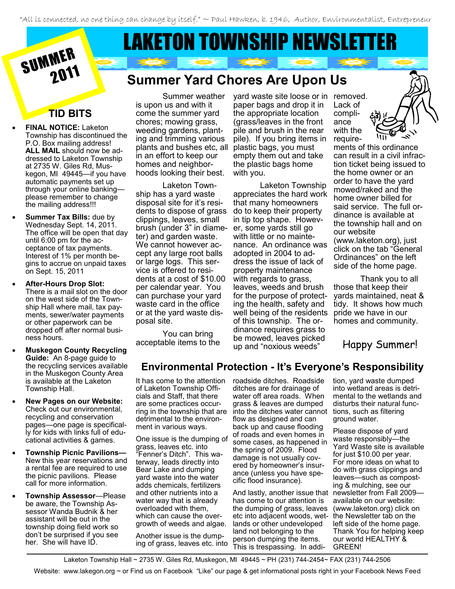"All is connected, no one thing can change by itself." ~ Paul Hawken, b. 1946, Author, Environmentalist, Entrepreneur

# MER LAKETON TOWNSHIP NEWSLETT

# **Summer Yard Chores Are Upon Us**

## **TID BITS**

SUMMER

- **FINAL NOTICE:** Laketon Township has discontinued the P.O. Box mailing address! **ALL MAIL** should now be addressed to Laketon Township at 2735 W. Giles Rd, Muskegon, MI 49445—if you have automatic payments set up through your online banking please remember to change the mailing address!!!
- **Summer Tax Bills:** due by Wednesday Sept. 14, 2011. The office will be open that day until 6:00 pm for the acceptance of tax payments. Interest of 1% per month begins to accrue on unpaid taxes on Sept. 15, 2011
- **After-Hours Drop Slot:**  There is a mail slot on the door on the west side of the Township Hall where mail, tax payments, sewer/water payments or other paperwork can be dropped off after normal business hours.
- **Muskegon County Recycling Guide:** An 8-page guide to the recycling services available in the Muskegon County Area is available at the Laketon Township Hall.
- **New Pages on our Website:**  Check out our environmental, recycling and conservation pages—one page is specifically for kids with links full of educational activities & games.
- **Township Picnic Pavilions—** New this year reservations and a rental fee are required to use the picnic pavilions. Please call for more information.
- **Township Assessor**—Please be aware, the Township Assessor Wanda Budnik & her assistant will be out in the township doing field work so don't be surprised if you see her. She will have ID.

Summer weather is upon us and with it come the summer yard chores; mowing grass, weeding gardens, planting and trimming various plants and bushes etc, all in an effort to keep our homes and neighborhoods looking their best.

Laketon Township has a yard waste disposal site for it's residents to dispose of grass clippings, leaves, small brush (under 3" in diameter) and garden waste. We cannot however accept any large root balls or large logs. This service is offered to residents at a cost of \$10.00 per calendar year. You can purchase your yard waste card in the office or at the yard waste disposal site.

You can bring acceptable items to the

yard waste site loose or in removed. paper bags and drop it in the appropriate location (grass/leaves in the front pile and brush in the rear pile). If you bring items in plastic bags, you must empty them out and take the plastic bags home with you.

Laketon Township appreciates the hard work that many homeowners do to keep their property in tip top shape. However, some yards still go with little or no maintenance. An ordinance was adopted in 2004 to address the issue of lack of property maintenance with regards to grass, leaves, weeds and brush for the purpose of protecting the health, safety and well being of the residents of this township. The ordinance requires grass to be mowed, leaves picked up and "noxious weeds"

Lack of compliance with the require-

ments of this ordinance can result in a civil infraction ticket being issued to the home owner or an order to have the yard mowed/raked and the home owner billed for said service. The full ordinance is available at the township hall and on our website (www.laketon.org), just click on the tab "General Ordinances" on the left side of the home page.

Thank you to all those that keep their yards maintained, neat & tidy. It shows how much pride we have in our homes and community.

Happy Summer!

#### **Environmental Protection - It's Everyone's Responsibility**

It has come to the attention of Laketon Township Officials and Staff, that there are some practices occurdetrimental to the environment in various ways.

One issue is the dumping of grass, leaves etc. into "Fenner's Ditch". This waterway, leads directly into Bear Lake and dumping yard waste into the water adds chemicals, fertilizers and other nutrients into a water way that is already overloaded with them, which can cause the overgrowth of weeds and algae.

Another issue is the dumping of grass, leaves etc. into

ring in the township that are into the ditches water cannot roadside ditches. Roadside ditches are for drainage of water off area roads. When grass & leaves are dumped flow as designed and can back up and cause flooding of roads and even homes in some cases, as happened in the spring of 2009. Flood damage is not usually covered by homeowner's insurance (unless you have specific flood insurance).

> And lastly, another issue that has come to our attention is the dumping of grass, leaves etc into adjacent woods, wetlands or other undeveloped land not belonging to the person dumping the items. This is trespassing. In addi-

tion, yard waste dumped into wetland areas is detrimental to the wetlands and disturbs their natural functions, such as filtering ground water.

Please dispose of yard waste responsibly—the Yard Waste site is available for just \$10.00 per year. For more ideas on what to do with grass clippings and leaves—such as composting & mulching, see our newsletter from Fall 2009 available on our website: (www.laketon.org) click on the Newsletter tab on the left side of the home page. Thank You for helping keep our world HEALTHY & GREEN!

Laketon Township Hall ~ 2735 W. Giles Rd, Muskegon, MI 49445 ~ PH (231) 744-2454~ FAX (231) 744-2506

Website: www.lakegon.org ~ or Find us on Facebook "Like" our page & get informational posts right in your Facebook News Feed